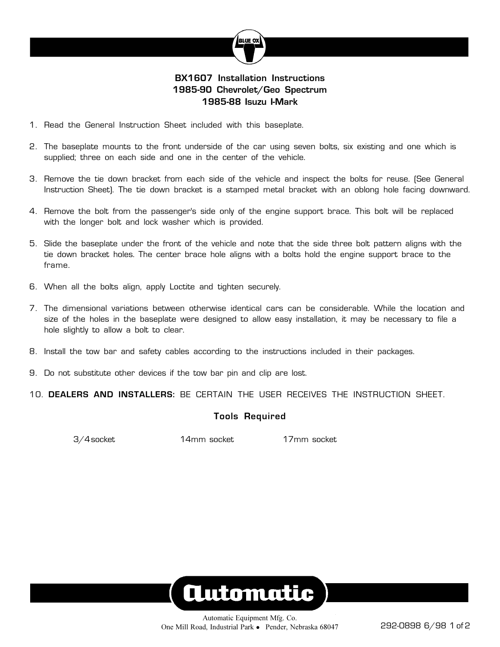

### **BX1607 Installation Instructions 1985-90 Chevrolet/Geo Spectrum 1985-88 Isuzu I-Mark**

- 1. Read the General Instruction Sheet included with this baseplate.
- 2. The baseplate mounts to the front underside of the car using seven bolts, six existing and one which is supplied; three on each side and one in the center of the vehicle.
- 3. Remove the tie down bracket from each side of the vehicle and inspect the bolts for reuse. (See General Instruction Sheet). The tie down bracket is a stamped metal bracket with an oblong hole facing downward.
- 4. Remove the bolt from the passenger's side only of the engine support brace. This bolt will be replaced with the longer bolt and lock washer which is provided.
- 5. Slide the baseplate under the front of the vehicle and note that the side three bolt pattern aligns with the tie down bracket holes. The center brace hole aligns with a bolts hold the engine support brace to the frame.
- 6. When all the bolts align, apply Loctite and tighten securely.
- 7. The dimensional variations between otherwise identical cars can be considerable. While the location and size of the holes in the baseplate were designed to allow easy installation, it may be necessary to file a hole slightly to allow a bolt to clear.
- 8. Install the tow bar and safety cables according to the instructions included in their packages.
- 9. Do not substitute other devices if the tow bar pin and clip are lost.

10. **DEALERS AND INSTALLERS:** BE CERTAIN THE USER RECEIVES THE INSTRUCTION SHEET.

#### **Tools Required**

3/4 socket 14mm socket 17mm socket

# **Automatic**